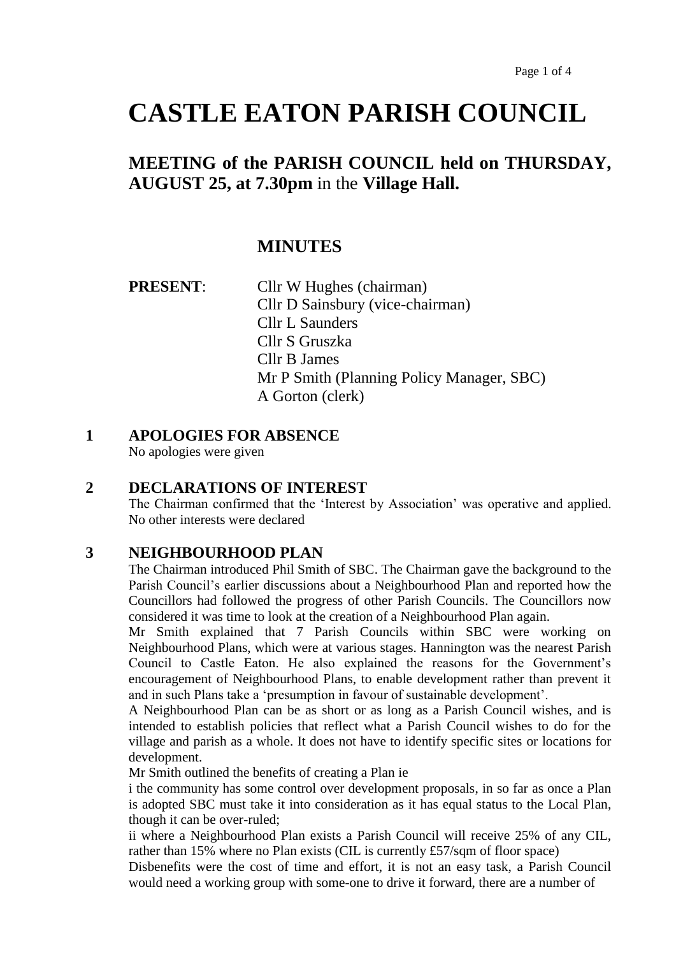# **CASTLE EATON PARISH COUNCIL**

## **MEETING of the PARISH COUNCIL held on THURSDAY, AUGUST 25, at 7.30pm** in the **Village Hall.**

### **MINUTES**

| <b>PRESENT:</b> | Cllr W Hughes (chairman)                  |
|-----------------|-------------------------------------------|
|                 | Cllr D Sainsbury (vice-chairman)          |
|                 | Cllr L Saunders                           |
|                 | Cllr S Gruszka                            |
|                 | Cllr B James                              |
|                 | Mr P Smith (Planning Policy Manager, SBC) |
|                 | A Gorton (clerk)                          |

#### **1 APOLOGIES FOR ABSENCE**

No apologies were given

#### **2 DECLARATIONS OF INTEREST**

The Chairman confirmed that the 'Interest by Association' was operative and applied. No other interests were declared

#### **3 NEIGHBOURHOOD PLAN**

The Chairman introduced Phil Smith of SBC. The Chairman gave the background to the Parish Council's earlier discussions about a Neighbourhood Plan and reported how the Councillors had followed the progress of other Parish Councils. The Councillors now considered it was time to look at the creation of a Neighbourhood Plan again.

Mr Smith explained that 7 Parish Councils within SBC were working on Neighbourhood Plans, which were at various stages. Hannington was the nearest Parish Council to Castle Eaton. He also explained the reasons for the Government's encouragement of Neighbourhood Plans, to enable development rather than prevent it and in such Plans take a 'presumption in favour of sustainable development'.

A Neighbourhood Plan can be as short or as long as a Parish Council wishes, and is intended to establish policies that reflect what a Parish Council wishes to do for the village and parish as a whole. It does not have to identify specific sites or locations for development.

Mr Smith outlined the benefits of creating a Plan ie

i the community has some control over development proposals, in so far as once a Plan is adopted SBC must take it into consideration as it has equal status to the Local Plan, though it can be over-ruled;

ii where a Neighbourhood Plan exists a Parish Council will receive 25% of any CIL, rather than 15% where no Plan exists (CIL is currently £57/sqm of floor space)

Disbenefits were the cost of time and effort, it is not an easy task, a Parish Council would need a working group with some-one to drive it forward, there are a number of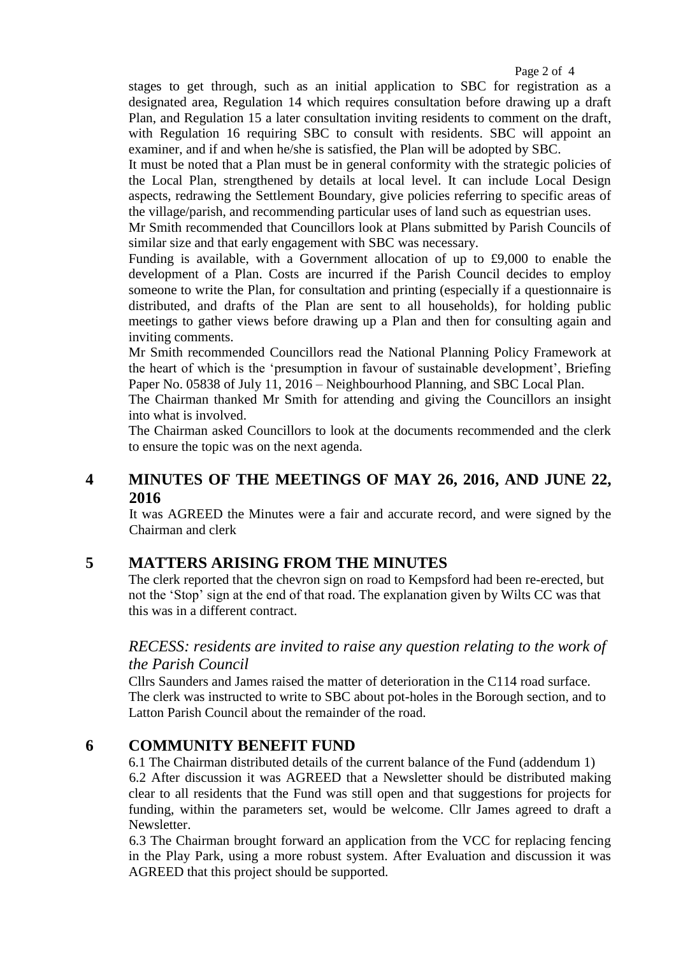stages to get through, such as an initial application to SBC for registration as a designated area, Regulation 14 which requires consultation before drawing up a draft Plan, and Regulation 15 a later consultation inviting residents to comment on the draft, with Regulation 16 requiring SBC to consult with residents. SBC will appoint an examiner, and if and when he/she is satisfied, the Plan will be adopted by SBC.

It must be noted that a Plan must be in general conformity with the strategic policies of the Local Plan, strengthened by details at local level. It can include Local Design aspects, redrawing the Settlement Boundary, give policies referring to specific areas of the village/parish, and recommending particular uses of land such as equestrian uses.

Mr Smith recommended that Councillors look at Plans submitted by Parish Councils of similar size and that early engagement with SBC was necessary.

Funding is available, with a Government allocation of up to £9,000 to enable the development of a Plan. Costs are incurred if the Parish Council decides to employ someone to write the Plan, for consultation and printing (especially if a questionnaire is distributed, and drafts of the Plan are sent to all households), for holding public meetings to gather views before drawing up a Plan and then for consulting again and inviting comments.

Mr Smith recommended Councillors read the National Planning Policy Framework at the heart of which is the 'presumption in favour of sustainable development', Briefing Paper No. 05838 of July 11, 2016 – Neighbourhood Planning, and SBC Local Plan.

The Chairman thanked Mr Smith for attending and giving the Councillors an insight into what is involved.

The Chairman asked Councillors to look at the documents recommended and the clerk to ensure the topic was on the next agenda.

#### **4 MINUTES OF THE MEETINGS OF MAY 26, 2016, AND JUNE 22, 2016**

It was AGREED the Minutes were a fair and accurate record, and were signed by the Chairman and clerk

#### **5 MATTERS ARISING FROM THE MINUTES**

The clerk reported that the chevron sign on road to Kempsford had been re-erected, but not the 'Stop' sign at the end of that road. The explanation given by Wilts CC was that this was in a different contract.

#### *RECESS: residents are invited to raise any question relating to the work of the Parish Council*

Cllrs Saunders and James raised the matter of deterioration in the C114 road surface. The clerk was instructed to write to SBC about pot-holes in the Borough section, and to Latton Parish Council about the remainder of the road.

#### **6 COMMUNITY BENEFIT FUND**

6.1 The Chairman distributed details of the current balance of the Fund (addendum 1) 6.2 After discussion it was AGREED that a Newsletter should be distributed making clear to all residents that the Fund was still open and that suggestions for projects for funding, within the parameters set, would be welcome. Cllr James agreed to draft a Newsletter.

6.3 The Chairman brought forward an application from the VCC for replacing fencing in the Play Park, using a more robust system. After Evaluation and discussion it was AGREED that this project should be supported.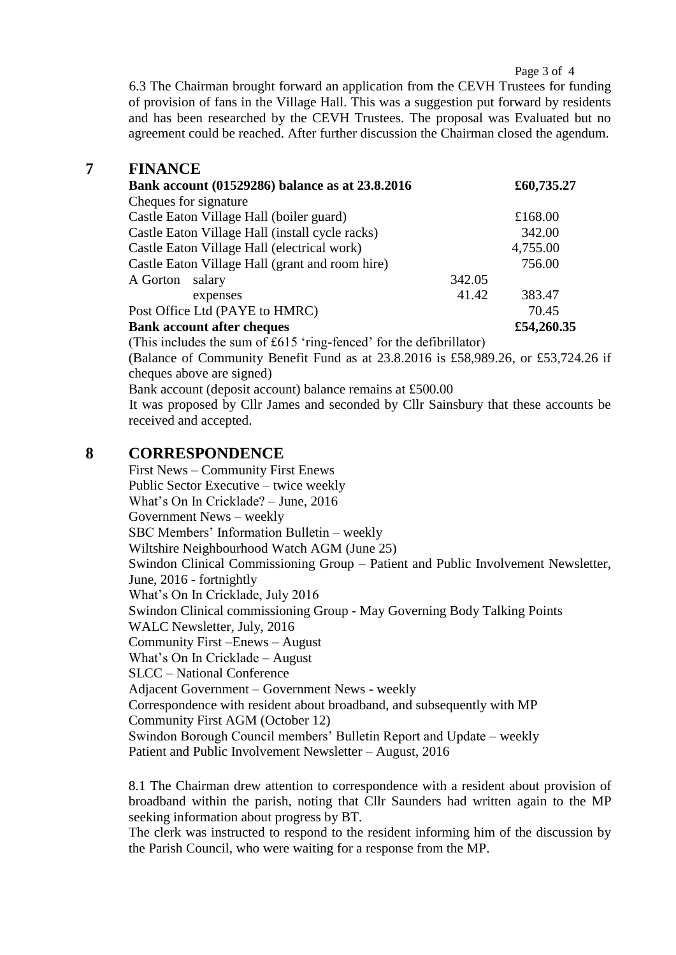Page 3 of 4

6.3 The Chairman brought forward an application from the CEVH Trustees for funding of provision of fans in the Village Hall. This was a suggestion put forward by residents and has been researched by the CEVH Trustees. The proposal was Evaluated but no agreement could be reached. After further discussion the Chairman closed the agendum.

#### **7 FINANCE**

| Bank account (01529286) balance as at 23.8.2016 |        | £60,735.27 |
|-------------------------------------------------|--------|------------|
| Cheques for signature                           |        |            |
| Castle Eaton Village Hall (boiler guard)        |        | £168.00    |
| Castle Eaton Village Hall (install cycle racks) |        | 342.00     |
| Castle Eaton Village Hall (electrical work)     |        | 4,755.00   |
| Castle Eaton Village Hall (grant and room hire) |        | 756.00     |
| A Gorton<br>salary                              | 342.05 |            |
| expenses                                        | 41.42  | 383.47     |
| Post Office Ltd (PAYE to HMRC)                  |        | 70.45      |
| <b>Bank account after cheques</b>               |        | £54,260.35 |

(This includes the sum of £615 'ring-fenced' for the defibrillator)

(Balance of Community Benefit Fund as at 23.8.2016 is £58,989.26, or £53,724.26 if cheques above are signed)

Bank account (deposit account) balance remains at £500.00

It was proposed by Cllr James and seconded by Cllr Sainsbury that these accounts be received and accepted.

#### **8 CORRESPONDENCE**

First News – Community First Enews Public Sector Executive – twice weekly What's On In Cricklade? – June, 2016 Government News – weekly SBC Members' Information Bulletin – weekly Wiltshire Neighbourhood Watch AGM (June 25) Swindon Clinical Commissioning Group – Patient and Public Involvement Newsletter, June, 2016 - fortnightly What's On In Cricklade, July 2016 Swindon Clinical commissioning Group - May Governing Body Talking Points WALC Newsletter, July, 2016 Community First –Enews – August What's On In Cricklade – August SLCC – National Conference Adjacent Government – Government News - weekly Correspondence with resident about broadband, and subsequently with MP Community First AGM (October 12) Swindon Borough Council members' Bulletin Report and Update – weekly Patient and Public Involvement Newsletter – August, 2016

8.1 The Chairman drew attention to correspondence with a resident about provision of broadband within the parish, noting that Cllr Saunders had written again to the MP seeking information about progress by BT.

The clerk was instructed to respond to the resident informing him of the discussion by the Parish Council, who were waiting for a response from the MP.